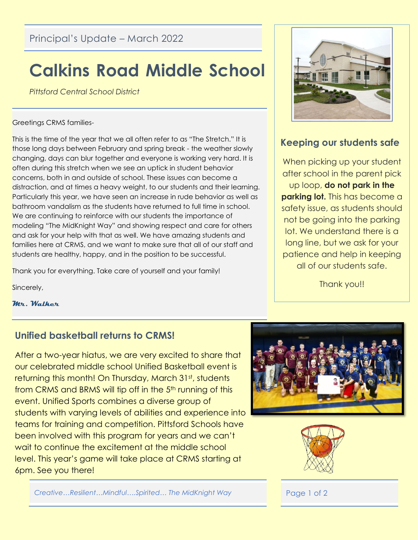Principal's Update – March 2022

# **Calkins Road Middle School**

*Pittsford Central School District*

#### Greetings CRMS families-

This is the time of the year that we all often refer to as "The Stretch." It is those long days between February and spring break - the weather slowly changing, days can blur together and everyone is working very hard. It is often during this stretch when we see an uptick in student behavior concerns, both in and outside of school. These issues can become a distraction, and at times a heavy weight, to our students and their learning. Particularly this year, we have seen an increase in rude behavior as well as bathroom vandalism as the students have returned to full time in school. We are continuing to reinforce with our students the importance of modeling "The MidKnight Way" and showing respect and care for others and ask for your help with that as well. We have amazing students and families here at CRMS, and we want to make sure that all of our staff and students are healthy, happy, and in the position to be successful.

Thank you for everything. Take care of yourself and your family!

Sincerely,

**Mr. Walker**

## **Unified basketball returns to CRMS!**

After a two-year hiatus, we are very excited to share that our celebrated middle school Unified Basketball event is returning this month! On Thursday, March 31<sup>st</sup>, students from CRMS and BRMS will tip off in the 5<sup>th</sup> running of this event. Unified Sports combines a diverse group of students with varying levels of abilities and experience into teams for training and competition. Pittsford Schools have been involved with this program for years and we can't wait to continue the excitement at the middle school level. This year's game will take place at CRMS starting at 6pm. See you there!



## **Keeping our students safe**

When picking up your student after school in the parent pick up loop, **do not park in the parking lot.** This has become a safety issue, as students should not be going into the parking lot. We understand there is a long line, but we ask for your patience and help in keeping all of our students safe.

Thank you!!





**Creative…Resilient…Mindful….Spirited… The MidKnight Way** Page 1 of 2